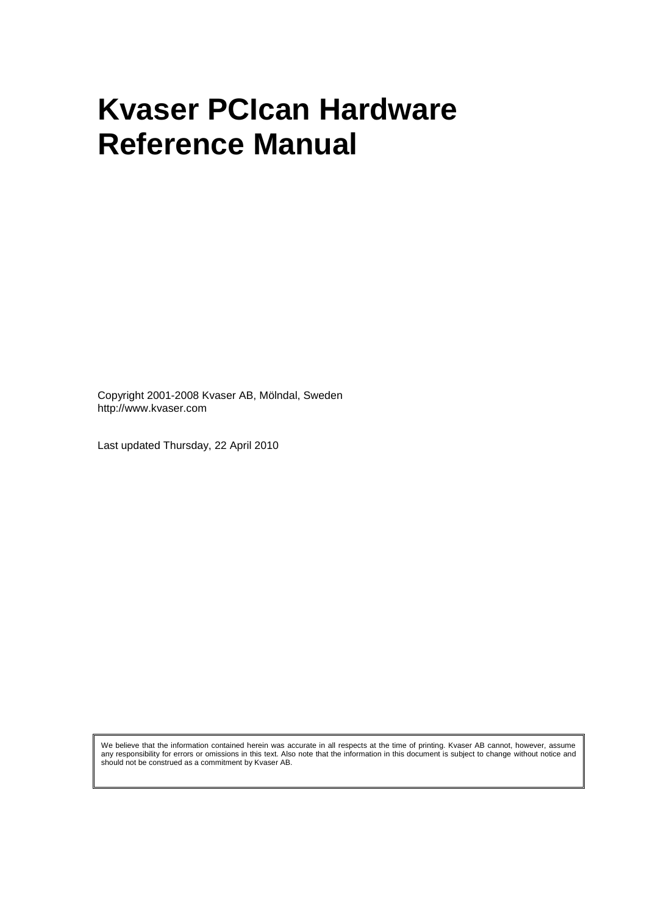# <span id="page-0-0"></span>**Kvaser PCIcan Hardware Reference Manual**

Copyright 2001-2008 Kvaser AB, Mölndal, Sweden http://www.kvaser.com

Last updated Thursday, 22 April 2010

We believe that the information contained herein was accurate in all respects at the time of printing. Kvaser AB cannot, however, assume any responsibility for errors or omissions in this text. Also note that the information in this document is subject to change without notice and should not be construed as a commitment by Kvaser AB.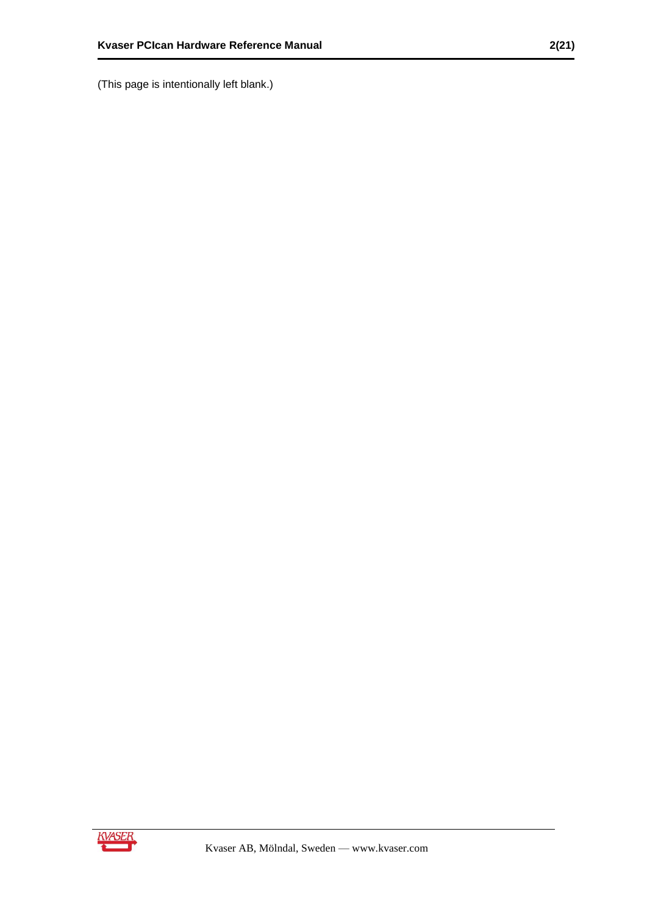(This page is intentionally left blank.)

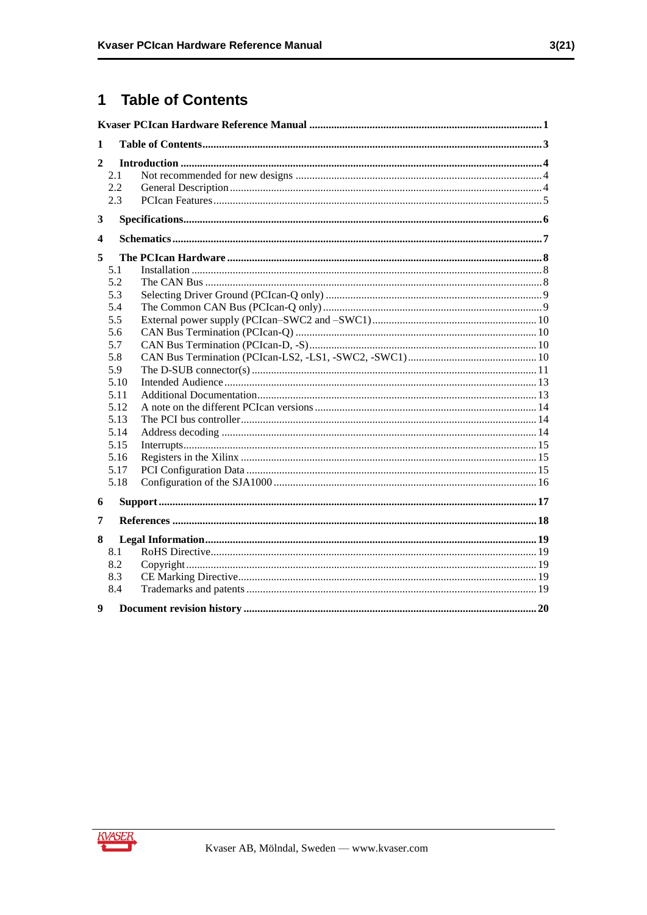#### <span id="page-2-0"></span>**Table of Contents**  $\mathbf 1$

| 1            |      |  |  |  |
|--------------|------|--|--|--|
| $\mathbf{2}$ |      |  |  |  |
|              | 2.1  |  |  |  |
|              | 2.2  |  |  |  |
|              | 2.3  |  |  |  |
| $\mathbf{3}$ |      |  |  |  |
| 4            |      |  |  |  |
| 5            |      |  |  |  |
|              | 5.1  |  |  |  |
|              | 5.2  |  |  |  |
|              | 5.3  |  |  |  |
|              | 5.4  |  |  |  |
|              | 5.5  |  |  |  |
|              | 5.6  |  |  |  |
|              | 5.7  |  |  |  |
|              | 5.8  |  |  |  |
|              | 5.9  |  |  |  |
|              | 5.10 |  |  |  |
|              | 5.11 |  |  |  |
|              | 5.12 |  |  |  |
|              | 5.13 |  |  |  |
|              | 5.14 |  |  |  |
|              | 5.15 |  |  |  |
|              | 5.16 |  |  |  |
|              | 5.17 |  |  |  |
|              | 5.18 |  |  |  |
| 6            |      |  |  |  |
| 7            |      |  |  |  |
| 8            |      |  |  |  |
|              | 8.1  |  |  |  |
|              | 8.2  |  |  |  |
|              | 8.3  |  |  |  |
|              | 8.4  |  |  |  |
| 9            |      |  |  |  |

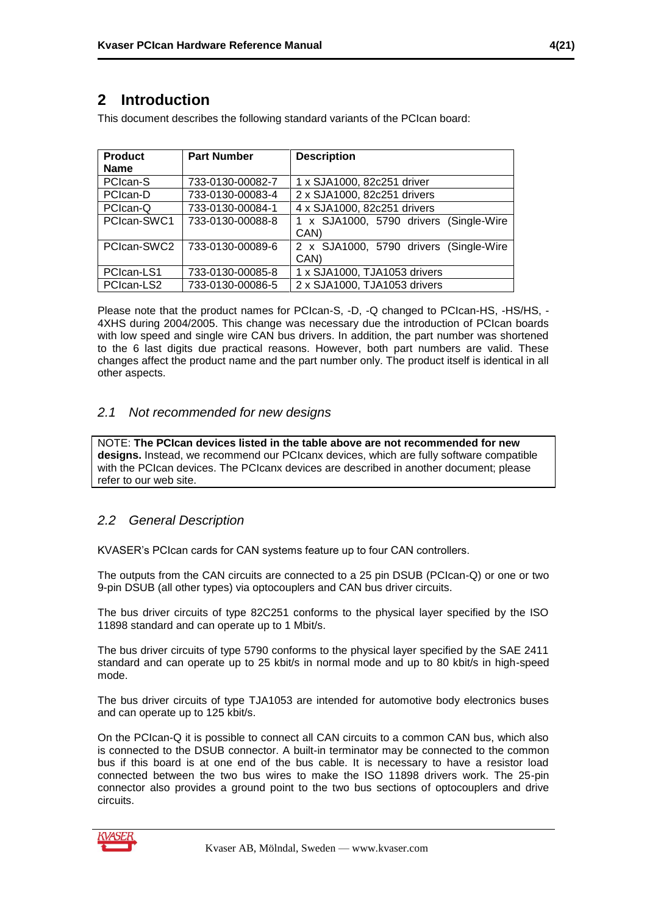## <span id="page-3-0"></span>**2 Introduction**

This document describes the following standard variants of the PCIcan board:

| <b>Product</b> | <b>Part Number</b> | <b>Description</b>                     |
|----------------|--------------------|----------------------------------------|
| <b>Name</b>    |                    |                                        |
| PCIcan-S       | 733-0130-00082-7   | 1 x SJA1000, 82c251 driver             |
| PCIcan-D       | 733-0130-00083-4   | 2 x SJA1000, 82c251 drivers            |
| PCIcan-Q       | 733-0130-00084-1   | 4 x SJA1000, 82c251 drivers            |
| PCIcan-SWC1    | 733-0130-00088-8   | 1 x SJA1000, 5790 drivers (Single-Wire |
|                |                    | CAN)                                   |
| PCIcan-SWC2    | 733-0130-00089-6   | 2 x SJA1000, 5790 drivers (Single-Wire |
|                |                    | CAN)                                   |
| PCIcan-LS1     | 733-0130-00085-8   | 1 x SJA1000, TJA1053 drivers           |
| PCIcan-LS2     | 733-0130-00086-5   | 2 x SJA1000, TJA1053 drivers           |

Please note that the product names for PCIcan-S, -D, -Q changed to PCIcan-HS, -HS/HS, - 4XHS during 2004/2005. This change was necessary due the introduction of PCIcan boards with low speed and single wire CAN bus drivers. In addition, the part number was shortened to the 6 last digits due practical reasons. However, both part numbers are valid. These changes affect the product name and the part number only. The product itself is identical in all other aspects.

#### <span id="page-3-1"></span>*2.1 Not recommended for new designs*

NOTE: **The PCIcan devices listed in the table above are not recommended for new designs.** Instead, we recommend our PCIcanx devices, which are fully software compatible with the PCIcan devices. The PCIcanx devices are described in another document; please refer to our web site.

#### <span id="page-3-2"></span>*2.2 General Description*

KVASER's PCIcan cards for CAN systems feature up to four CAN controllers.

The outputs from the CAN circuits are connected to a 25 pin DSUB (PCIcan-Q) or one or two 9-pin DSUB (all other types) via optocouplers and CAN bus driver circuits.

The bus driver circuits of type 82C251 conforms to the physical layer specified by the ISO 11898 standard and can operate up to 1 Mbit/s.

The bus driver circuits of type 5790 conforms to the physical layer specified by the SAE 2411 standard and can operate up to 25 kbit/s in normal mode and up to 80 kbit/s in high-speed mode.

The bus driver circuits of type TJA1053 are intended for automotive body electronics buses and can operate up to 125 kbit/s.

On the PCIcan-Q it is possible to connect all CAN circuits to a common CAN bus, which also is connected to the DSUB connector. A built-in terminator may be connected to the common bus if this board is at one end of the bus cable. It is necessary to have a resistor load connected between the two bus wires to make the ISO 11898 drivers work. The 25-pin connector also provides a ground point to the two bus sections of optocouplers and drive circuits.

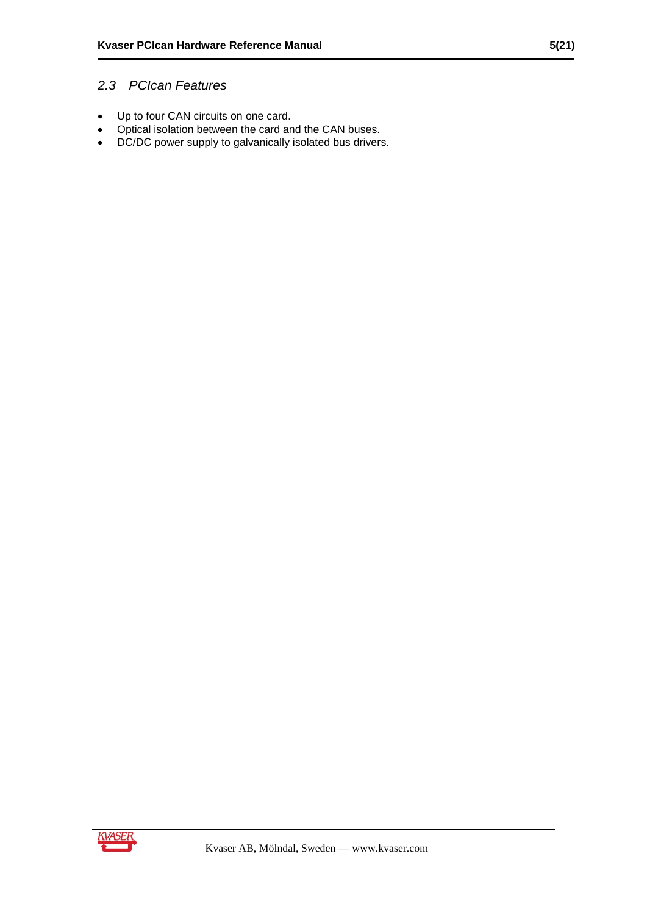#### <span id="page-4-0"></span>*2.3 PCIcan Features*

- Up to four CAN circuits on one card.
- Optical isolation between the card and the CAN buses.
- DC/DC power supply to galvanically isolated bus drivers.

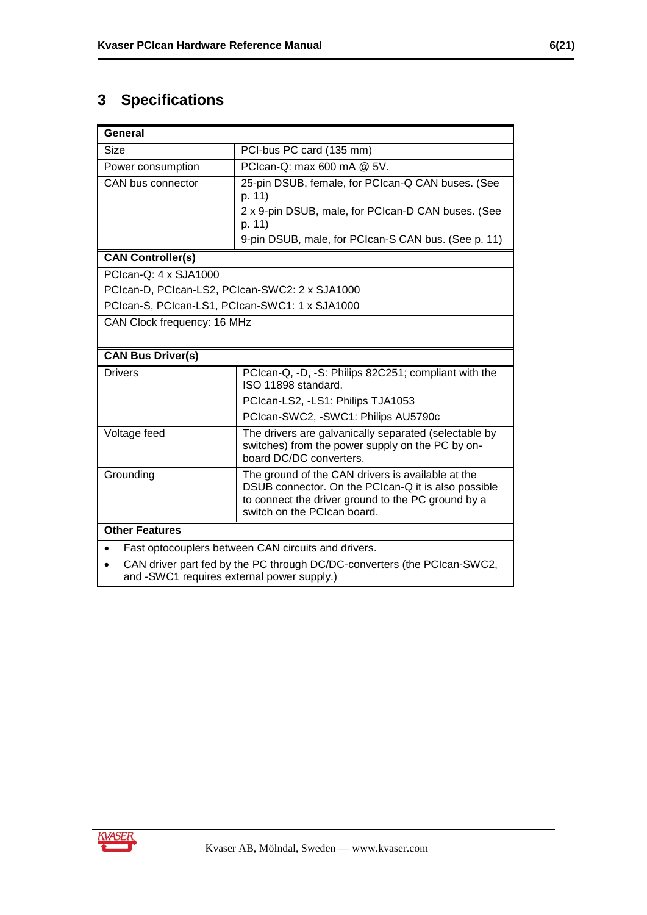## <span id="page-5-0"></span>**3 Specifications**

| General                                                                                                                |                                                                                                                                                                                               |  |  |
|------------------------------------------------------------------------------------------------------------------------|-----------------------------------------------------------------------------------------------------------------------------------------------------------------------------------------------|--|--|
| <b>Size</b>                                                                                                            | PCI-bus PC card (135 mm)                                                                                                                                                                      |  |  |
| Power consumption                                                                                                      | PCIcan-Q: max 600 mA @ 5V.                                                                                                                                                                    |  |  |
| CAN bus connector                                                                                                      | 25-pin DSUB, female, for PCIcan-Q CAN buses. (See<br>p. 11)                                                                                                                                   |  |  |
|                                                                                                                        | 2 x 9-pin DSUB, male, for PCIcan-D CAN buses. (See<br>p. 11)                                                                                                                                  |  |  |
|                                                                                                                        | 9-pin DSUB, male, for PCIcan-S CAN bus. (See p. 11)                                                                                                                                           |  |  |
| <b>CAN Controller(s)</b>                                                                                               |                                                                                                                                                                                               |  |  |
| $PClcan-O: 4 \times SJA1000$                                                                                           |                                                                                                                                                                                               |  |  |
| PCIcan-D, PCIcan-LS2, PCIcan-SWC2: 2 x SJA1000                                                                         |                                                                                                                                                                                               |  |  |
| PCIcan-S, PCIcan-LS1, PCIcan-SWC1: 1 x SJA1000                                                                         |                                                                                                                                                                                               |  |  |
| CAN Clock frequency: 16 MHz                                                                                            |                                                                                                                                                                                               |  |  |
| <b>CAN Bus Driver(s)</b>                                                                                               |                                                                                                                                                                                               |  |  |
| <b>Drivers</b>                                                                                                         | PCIcan-Q, -D, -S: Philips 82C251; compliant with the<br>ISO 11898 standard.                                                                                                                   |  |  |
|                                                                                                                        | PCIcan-LS2, -LS1: Philips TJA1053                                                                                                                                                             |  |  |
|                                                                                                                        | PCIcan-SWC2, -SWC1: Philips AU5790c                                                                                                                                                           |  |  |
| Voltage feed                                                                                                           | The drivers are galvanically separated (selectable by<br>switches) from the power supply on the PC by on-<br>board DC/DC converters.                                                          |  |  |
| Grounding                                                                                                              | The ground of the CAN drivers is available at the<br>DSUB connector. On the PCIcan-Q it is also possible<br>to connect the driver ground to the PC ground by a<br>switch on the PCIcan board. |  |  |
| <b>Other Features</b>                                                                                                  |                                                                                                                                                                                               |  |  |
| Fast optocouplers between CAN circuits and drivers.                                                                    |                                                                                                                                                                                               |  |  |
| CAN driver part fed by the PC through DC/DC-converters (the PCIcan-SWC2,<br>and -SWC1 requires external power supply.) |                                                                                                                                                                                               |  |  |

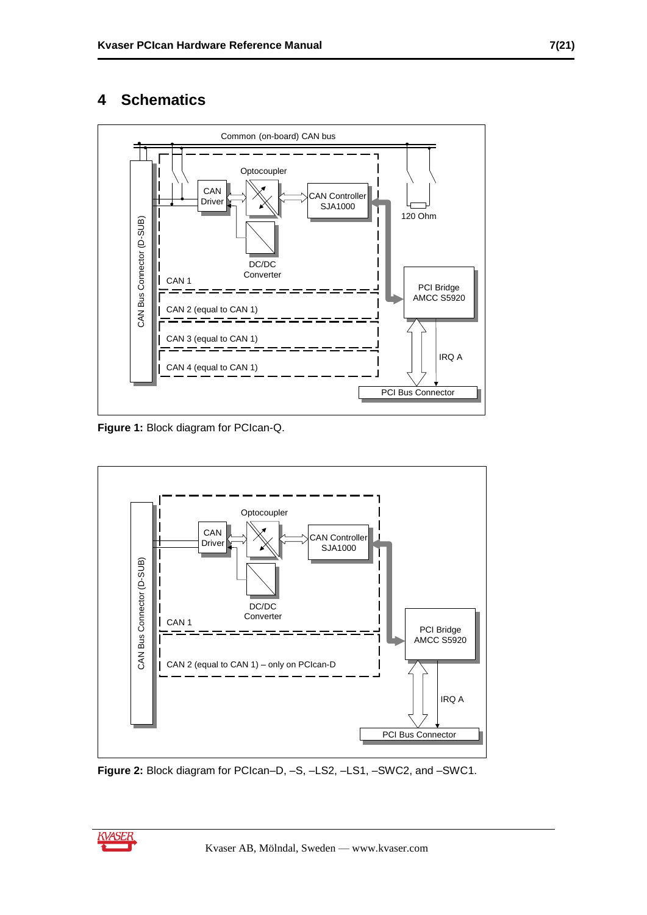## <span id="page-6-0"></span>**4 Schematics**



**Figure 1:** Block diagram for PCIcan-Q.



**Figure 2:** Block diagram for PCIcan–D, –S, –LS2, –LS1, –SWC2, and –SWC1.

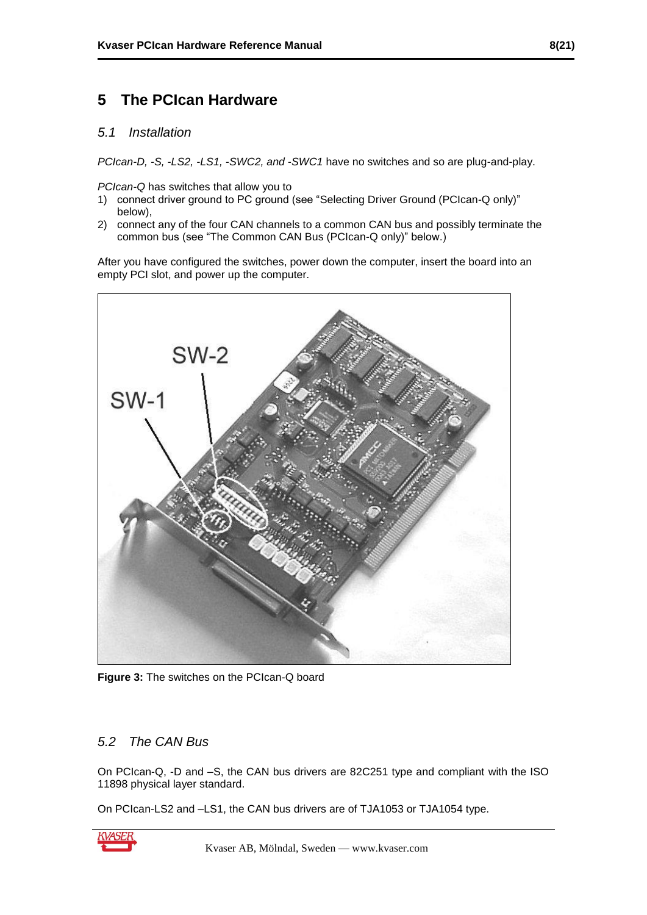## <span id="page-7-0"></span>**5 The PCIcan Hardware**

#### <span id="page-7-1"></span>*5.1 Installation*

*PCIcan-D, -S, -LS2, -LS1, -SWC2, and -SWC1* have no switches and so are plug-and-play.

*PCIcan-Q* has switches that allow you to

- 1) connect driver ground to PC ground (see ["Selecting Driver Ground \(PCIcan-Q only\)"](#page-8-0) below),
- 2) connect any of the four CAN channels to a common CAN bus and possibly terminate the common bus (see ["The Common CAN Bus \(PCIcan-Q only\)"](#page-8-1) below.)

After you have configured the switches, power down the computer, insert the board into an empty PCI slot, and power up the computer.



**Figure 3:** The switches on the PCIcan-Q board

#### <span id="page-7-2"></span>*5.2 The CAN Bus*

On PCIcan-Q, -D and –S, the CAN bus drivers are 82C251 type and compliant with the ISO 11898 physical layer standard.

On PCIcan-LS2 and –LS1, the CAN bus drivers are of TJA1053 or TJA1054 type.

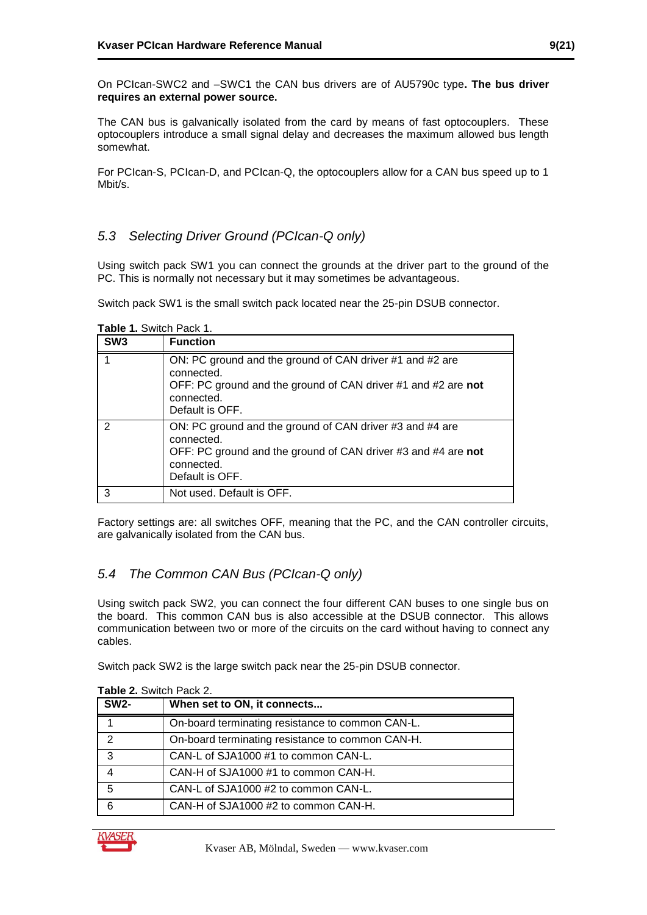On PCIcan-SWC2 and –SWC1 the CAN bus drivers are of AU5790c type**. The bus driver requires an external power source.**

The CAN bus is galvanically isolated from the card by means of fast optocouplers. These optocouplers introduce a small signal delay and decreases the maximum allowed bus length somewhat.

For PCIcan-S, PCIcan-D, and PCIcan-Q, the optocouplers allow for a CAN bus speed up to 1 Mbit/s.

#### <span id="page-8-0"></span>*5.3 Selecting Driver Ground (PCIcan-Q only)*

Using switch pack SW1 you can connect the grounds at the driver part to the ground of the PC. This is normally not necessary but it may sometimes be advantageous.

Switch pack SW1 is the small switch pack located near the 25-pin DSUB connector.

**Table 1.** Switch Pack 1.

| SW <sub>3</sub> | <b>Function</b>                                                                                                                                                          |
|-----------------|--------------------------------------------------------------------------------------------------------------------------------------------------------------------------|
|                 | ON: PC ground and the ground of CAN driver #1 and #2 are<br>connected.<br>OFF: PC ground and the ground of CAN driver #1 and #2 are not<br>connected.<br>Default is OFF. |
|                 | ON: PC ground and the ground of CAN driver #3 and #4 are<br>connected.<br>OFF: PC ground and the ground of CAN driver #3 and #4 are not<br>connected.<br>Default is OFF. |
|                 | Not used. Default is OFF.                                                                                                                                                |

Factory settings are: all switches OFF, meaning that the PC, and the CAN controller circuits, are galvanically isolated from the CAN bus.

#### <span id="page-8-1"></span>*5.4 The Common CAN Bus (PCIcan-Q only)*

Using switch pack SW2, you can connect the four different CAN buses to one single bus on the board. This common CAN bus is also accessible at the DSUB connector. This allows communication between two or more of the circuits on the card without having to connect any cables.

Switch pack SW2 is the large switch pack near the 25-pin DSUB connector.

| <b>SW2-</b>   | When set to ON, it connects                      |  |  |
|---------------|--------------------------------------------------|--|--|
|               | On-board terminating resistance to common CAN-L. |  |  |
| $\mathcal{P}$ | On-board terminating resistance to common CAN-H. |  |  |
| 3             | CAN-L of SJA1000 #1 to common CAN-L.             |  |  |
| 4             | CAN-H of SJA1000 #1 to common CAN-H.             |  |  |
| 5             | CAN-L of SJA1000 #2 to common CAN-L.             |  |  |
| 6             | CAN-H of SJA1000 #2 to common CAN-H.             |  |  |

**Table 2.** Switch Pack 2.

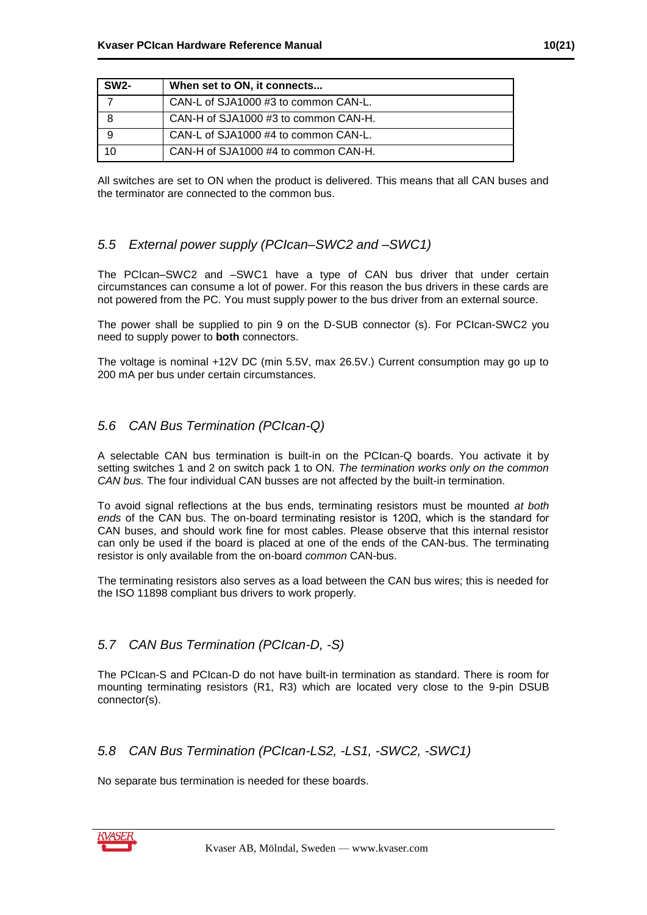| <b>SW2-</b> | When set to ON, it connects          |  |
|-------------|--------------------------------------|--|
|             | CAN-L of SJA1000 #3 to common CAN-L. |  |
|             | CAN-H of SJA1000 #3 to common CAN-H. |  |
| 9           | CAN-L of SJA1000 #4 to common CAN-L. |  |
| 10          | CAN-H of SJA1000 #4 to common CAN-H. |  |

All switches are set to ON when the product is delivered. This means that all CAN buses and the terminator are connected to the common bus.

#### <span id="page-9-0"></span>*5.5 External power supply (PCIcan–SWC2 and –SWC1)*

The PCIcan–SWC2 and –SWC1 have a type of CAN bus driver that under certain circumstances can consume a lot of power. For this reason the bus drivers in these cards are not powered from the PC. You must supply power to the bus driver from an external source.

The power shall be supplied to pin 9 on the D-SUB connector (s). For PCIcan-SWC2 you need to supply power to **both** connectors.

The voltage is nominal +12V DC (min 5.5V, max 26.5V.) Current consumption may go up to 200 mA per bus under certain circumstances.

#### <span id="page-9-1"></span>*5.6 CAN Bus Termination (PCIcan-Q)*

A selectable CAN bus termination is built-in on the PCIcan-Q boards. You activate it by setting switches 1 and 2 on switch pack 1 to ON*. The termination works only on the common CAN bus.* The four individual CAN busses are not affected by the built-in termination.

To avoid signal reflections at the bus ends, terminating resistors must be mounted *at both ends* of the CAN bus. The on-board terminating resistor is 120Ω, which is the standard for CAN buses, and should work fine for most cables. Please observe that this internal resistor can only be used if the board is placed at one of the ends of the CAN-bus. The terminating resistor is only available from the on-board *common* CAN-bus.

The terminating resistors also serves as a load between the CAN bus wires; this is needed for the ISO 11898 compliant bus drivers to work properly.

#### <span id="page-9-2"></span>*5.7 CAN Bus Termination (PCIcan-D, -S)*

The PCIcan-S and PCIcan-D do not have built-in termination as standard. There is room for mounting terminating resistors (R1, R3) which are located very close to the 9-pin DSUB connector(s).

#### <span id="page-9-3"></span>*5.8 CAN Bus Termination (PCIcan-LS2, -LS1, -SWC2, -SWC1)*

No separate bus termination is needed for these boards.

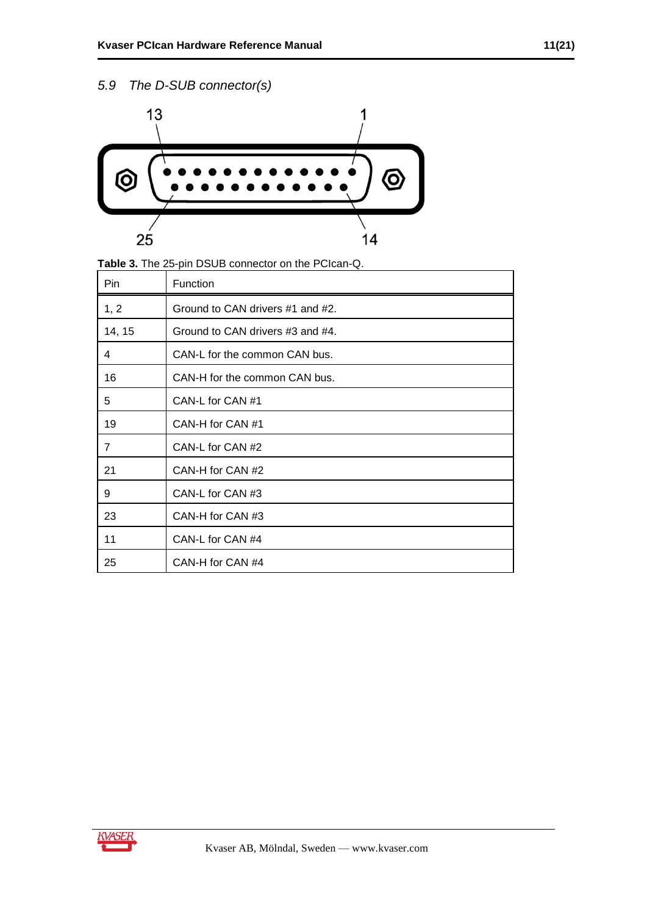<span id="page-10-0"></span>*5.9 The D-SUB connector(s)*



| Pin<br>Function |                                  |  |  |
|-----------------|----------------------------------|--|--|
| 1, 2            | Ground to CAN drivers #1 and #2. |  |  |
| 14, 15          | Ground to CAN drivers #3 and #4. |  |  |
| 4               | CAN-L for the common CAN bus.    |  |  |
| 16              | CAN-H for the common CAN bus.    |  |  |
| 5               | CAN-L for CAN #1                 |  |  |
| 19              | CAN-H for CAN #1                 |  |  |
| $\overline{7}$  | CAN-L for CAN #2                 |  |  |
| 21              | CAN-H for CAN #2                 |  |  |
| 9               | CAN-L for CAN #3                 |  |  |
| 23              | CAN-H for CAN #3                 |  |  |
| 11              | CAN-L for CAN #4                 |  |  |
| 25              | CAN-H for CAN #4                 |  |  |

Table 3. The 25-pin DSUB connector on the PCIcan-Q.

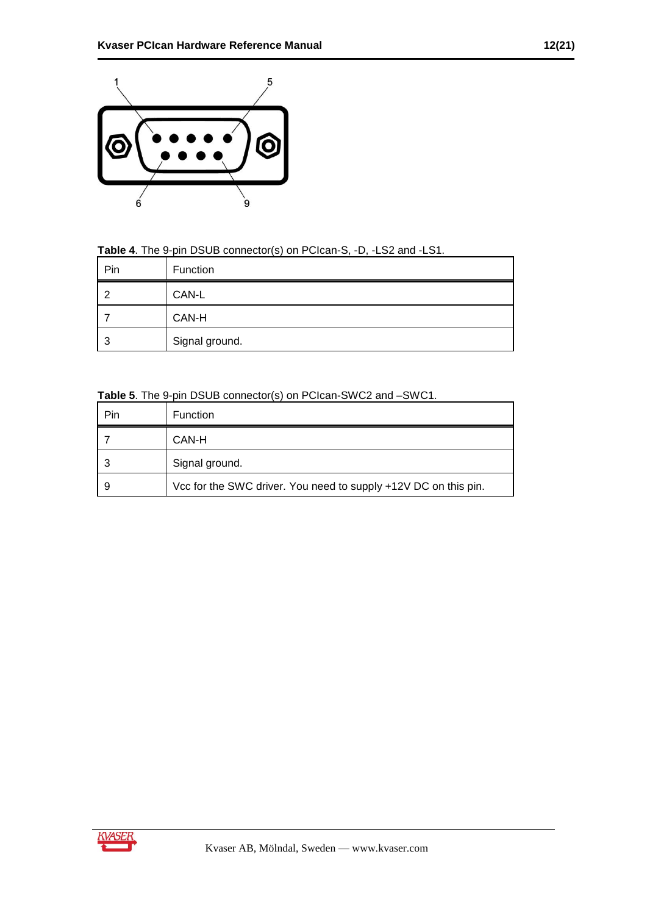

**Table 4**. The 9-pin DSUB connector(s) on PCIcan-S, -D, -LS2 and -LS1.

| Pin | Function       |
|-----|----------------|
|     | CAN-L          |
|     | CAN-H          |
| ◠   | Signal ground. |

| Pin | <b>Function</b>                                                 |
|-----|-----------------------------------------------------------------|
|     | CAN-H                                                           |
|     | Signal ground.                                                  |
|     | Vcc for the SWC driver. You need to supply +12V DC on this pin. |

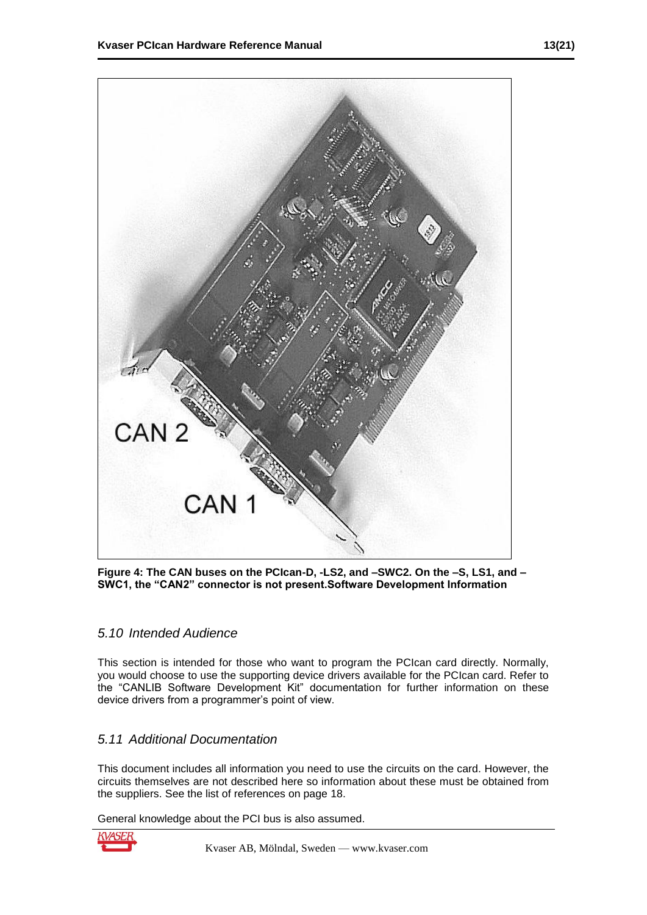

**Figure 4: The CAN buses on the PCIcan-D, -LS2, and –SWC2. On the –S, LS1, and – SWC1, the "CAN2" connector is not present.Software Development Information**

#### <span id="page-12-0"></span>*5.10 Intended Audience*

This section is intended for those who want to program the PCIcan card directly. Normally, you would choose to use the supporting device drivers available for the PCIcan card. Refer to the "CANLIB Software Development Kit" documentation for further information on these device drivers from a programmer's point of view.

#### <span id="page-12-1"></span>*5.11 Additional Documentation*

This document includes all information you need to use the circuits on the card. However, the circuits themselves are not described here so information about these must be obtained from the suppliers. See the list of references on page 18.

General knowledge about the PCI bus is also assumed.

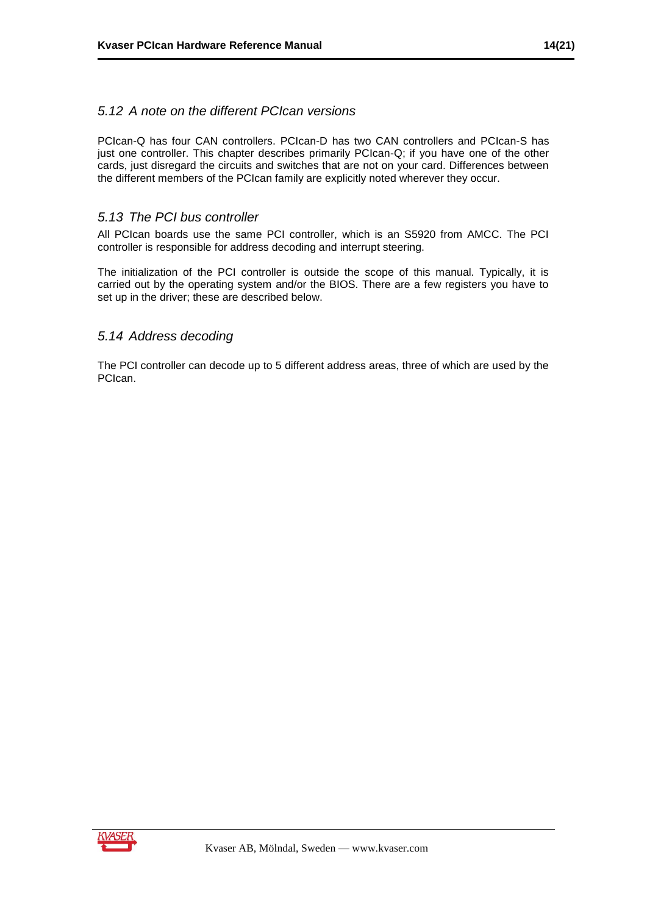#### <span id="page-13-0"></span>*5.12 A note on the different PCIcan versions*

PCIcan-Q has four CAN controllers. PCIcan-D has two CAN controllers and PCIcan-S has just one controller. This chapter describes primarily PCIcan-Q; if you have one of the other cards, just disregard the circuits and switches that are not on your card. Differences between the different members of the PCIcan family are explicitly noted wherever they occur.

#### <span id="page-13-1"></span>*5.13 The PCI bus controller*

All PCIcan boards use the same PCI controller, which is an S5920 from AMCC. The PCI controller is responsible for address decoding and interrupt steering.

The initialization of the PCI controller is outside the scope of this manual. Typically, it is carried out by the operating system and/or the BIOS. There are a few registers you have to set up in the driver; these are described below.

#### <span id="page-13-2"></span>*5.14 Address decoding*

The PCI controller can decode up to 5 different address areas, three of which are used by the PCIcan.

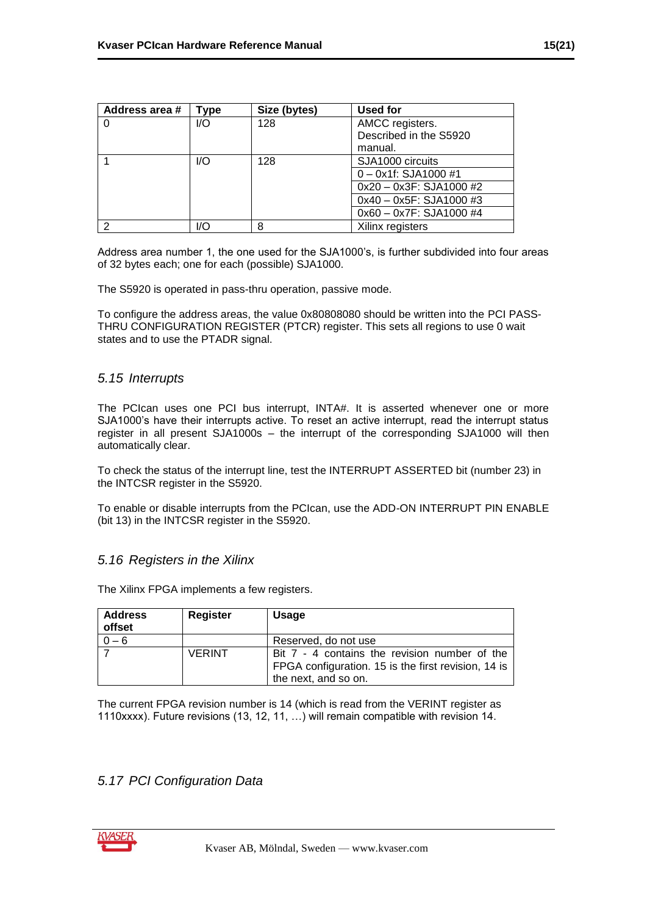| Address area # | ype | Size (bytes) | Used for                   |
|----------------|-----|--------------|----------------------------|
|                | I/O | 128          | AMCC registers.            |
|                |     |              | Described in the S5920     |
|                |     |              | manual.                    |
|                | I/O | 128          | SJA1000 circuits           |
|                |     |              | $0 - 0x1f$ : SJA1000 #1    |
|                |     |              | $0x20 - 0x3F$ : SJA1000 #2 |
|                |     |              | $0x40 - 0x5F$ : SJA1000 #3 |
|                |     |              | 0x60 - 0x7F: SJA1000 #4    |
|                | l/O | 8            | Xilinx registers           |

Address area number 1, the one used for the SJA1000's, is further subdivided into four areas of 32 bytes each; one for each (possible) SJA1000.

The S5920 is operated in pass-thru operation, passive mode.

To configure the address areas, the value 0x80808080 should be written into the PCI PASS-THRU CONFIGURATION REGISTER (PTCR) register. This sets all regions to use 0 wait states and to use the PTADR signal.

#### <span id="page-14-0"></span>*5.15 Interrupts*

The PCIcan uses one PCI bus interrupt, INTA#. It is asserted whenever one or more SJA1000's have their interrupts active. To reset an active interrupt, read the interrupt status register in all present SJA1000s – the interrupt of the corresponding SJA1000 will then automatically clear.

To check the status of the interrupt line, test the INTERRUPT ASSERTED bit (number 23) in the INTCSR register in the S5920.

To enable or disable interrupts from the PCIcan, use the ADD-ON INTERRUPT PIN ENABLE (bit 13) in the INTCSR register in the S5920.

#### <span id="page-14-1"></span>*5.16 Registers in the Xilinx*

The Xilinx FPGA implements a few registers.

| <b>Address</b><br>offset | <b>Register</b> | <b>Usage</b>                                                                                                                 |
|--------------------------|-----------------|------------------------------------------------------------------------------------------------------------------------------|
| $0 - 6$                  |                 | Reserved, do not use                                                                                                         |
|                          | <b>VERINT</b>   | Bit 7 - 4 contains the revision number of the<br>FPGA configuration. 15 is the first revision, 14 is<br>the next, and so on. |

The current FPGA revision number is 14 (which is read from the VERINT register as 1110xxxx). Future revisions (13, 12, 11, …) will remain compatible with revision 14.

#### <span id="page-14-2"></span>*5.17 PCI Configuration Data*

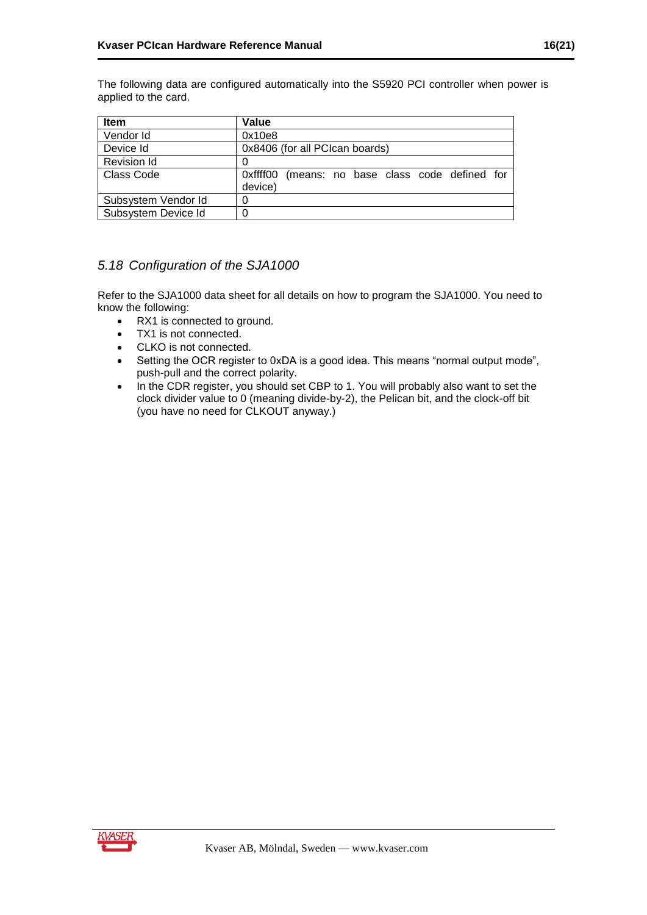The following data are configured automatically into the S5920 PCI controller when power is applied to the card.

| <b>Item</b>         | Value                                              |
|---------------------|----------------------------------------------------|
| Vendor Id           | 0x10e8                                             |
| Device Id           | 0x8406 (for all PCIcan boards)                     |
| Revision Id         |                                                    |
| Class Code          | 0xffff00<br>(means: no base class code defined for |
|                     | device)                                            |
| Subsystem Vendor Id |                                                    |
| Subsystem Device Id |                                                    |

#### <span id="page-15-0"></span>*5.18 Configuration of the SJA1000*

Refer to the SJA1000 data sheet for all details on how to program the SJA1000. You need to know the following:

- RX1 is connected to ground.
- TX1 is not connected.
- CLKO is not connected.
- Setting the OCR register to 0xDA is a good idea. This means "normal output mode", push-pull and the correct polarity.
- In the CDR register, you should set CBP to 1. You will probably also want to set the clock divider value to 0 (meaning divide-by-2), the Pelican bit, and the clock-off bit (you have no need for CLKOUT anyway.)

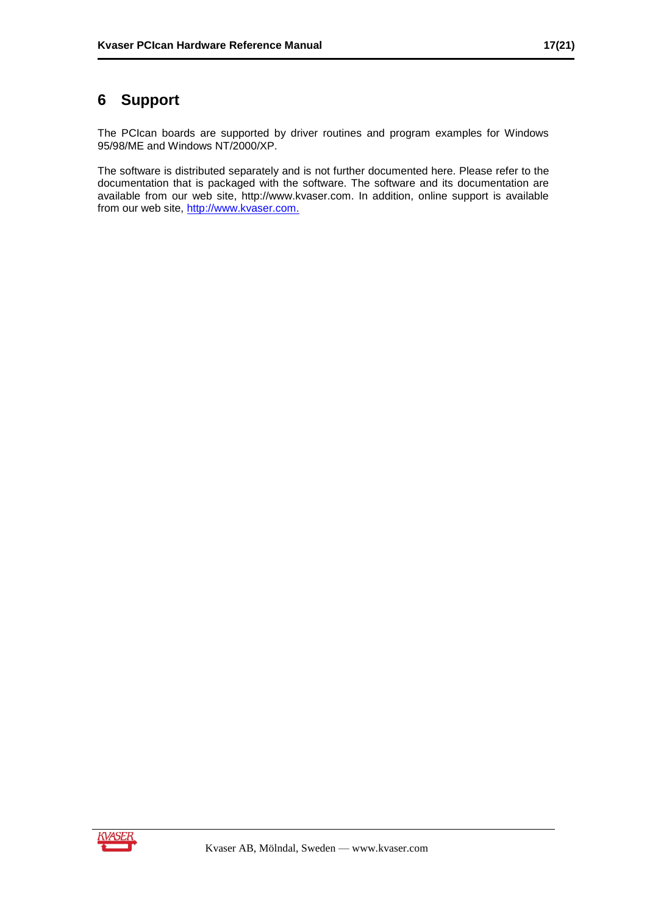## <span id="page-16-0"></span>**6 Support**

The PCIcan boards are supported by driver routines and program examples for Windows 95/98/ME and Windows NT/2000/XP.

The software is distributed separately and is not further documented here. Please refer to the documentation that is packaged with the software. The software and its documentation are available from our web site, http://www.kvaser.com. In addition, online support is available from our web site, http://www.kvaser.com.

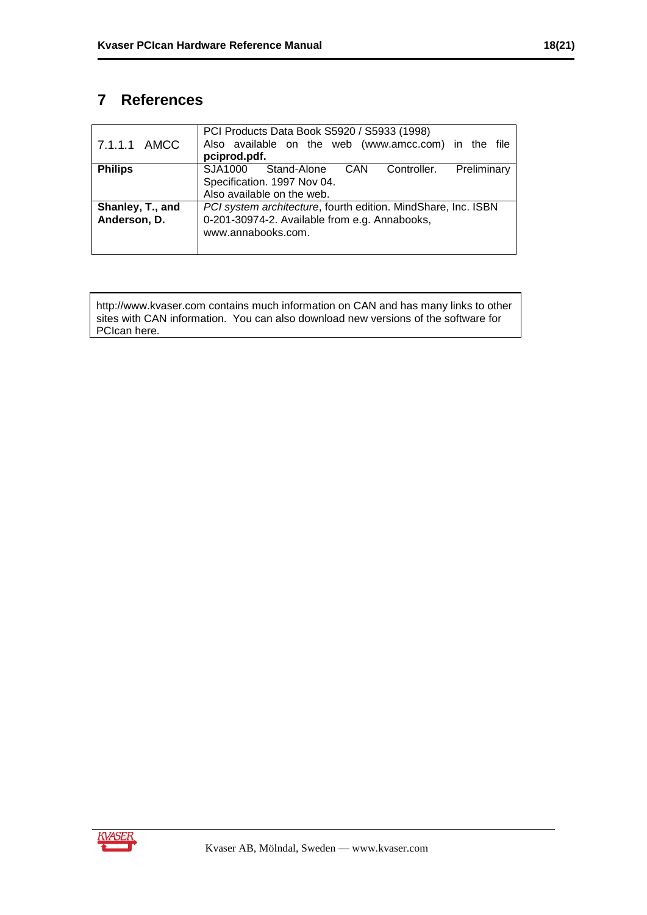## <span id="page-17-0"></span>**7 References**

| 7.1.1.1 AMCC     | PCI Products Data Book S5920 / S5933 (1998)<br>Also available on the web (www.amcc.com) in the file |
|------------------|-----------------------------------------------------------------------------------------------------|
|                  | pciprod.pdf.                                                                                        |
| <b>Philips</b>   | Preliminary<br>SJA1000 Stand-Alone CAN<br>Controller.                                               |
|                  | Specification. 1997 Nov 04.                                                                         |
|                  | Also available on the web.                                                                          |
| Shanley, T., and | PCI system architecture, fourth edition. MindShare, Inc. ISBN                                       |
| Anderson, D.     | 0-201-30974-2. Available from e.g. Annabooks,                                                       |
|                  | www.annabooks.com.                                                                                  |
|                  |                                                                                                     |

http://www.kvaser.com contains much information on CAN and has many links to other sites with CAN information. You can also download new versions of the software for PCIcan here.

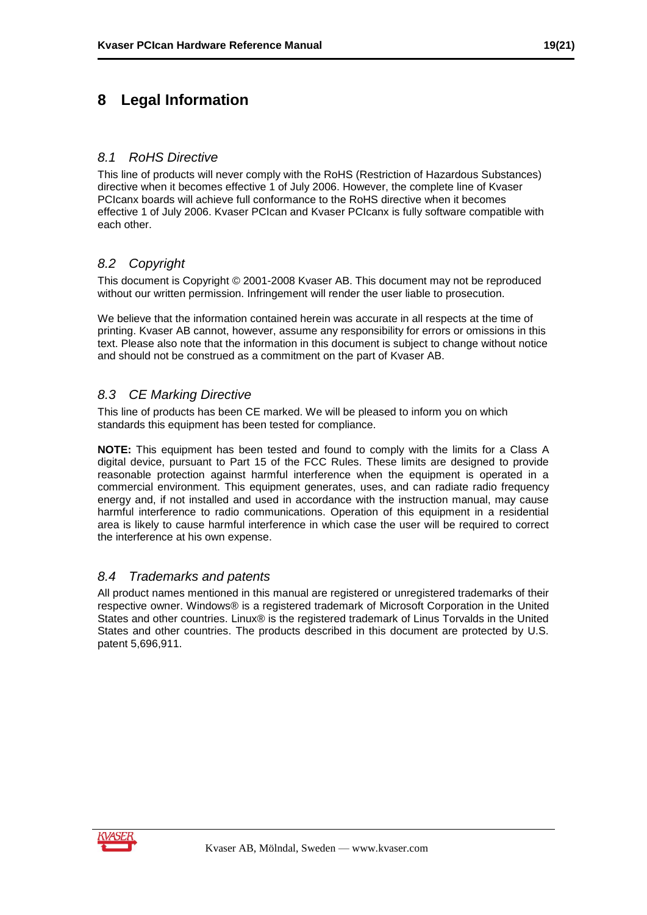## <span id="page-18-0"></span>**8 Legal Information**

#### <span id="page-18-1"></span>*8.1 RoHS Directive*

This line of products will never comply with the RoHS (Restriction of Hazardous Substances) directive when it becomes effective 1 of July 2006. However, the complete line of Kvaser PCIcanx boards will achieve full conformance to the RoHS directive when it becomes effective 1 of July 2006. Kvaser PCIcan and Kvaser PCIcanx is fully software compatible with each other.

### <span id="page-18-2"></span>*8.2 Copyright*

This document is Copyright © 2001-2008 Kvaser AB. This document may not be reproduced without our written permission. Infringement will render the user liable to prosecution.

We believe that the information contained herein was accurate in all respects at the time of printing. Kvaser AB cannot, however, assume any responsibility for errors or omissions in this text. Please also note that the information in this document is subject to change without notice and should not be construed as a commitment on the part of Kvaser AB.

#### <span id="page-18-3"></span>*8.3 CE Marking Directive*

This line of products has been CE marked. We will be pleased to inform you on which standards this equipment has been tested for compliance.

**NOTE:** This equipment has been tested and found to comply with the limits for a Class A digital device, pursuant to Part 15 of the FCC Rules. These limits are designed to provide reasonable protection against harmful interference when the equipment is operated in a commercial environment. This equipment generates, uses, and can radiate radio frequency energy and, if not installed and used in accordance with the instruction manual, may cause harmful interference to radio communications. Operation of this equipment in a residential area is likely to cause harmful interference in which case the user will be required to correct the interference at his own expense.

#### <span id="page-18-4"></span>*8.4 Trademarks and patents*

All product names mentioned in this manual are registered or unregistered trademarks of their respective owner. Windows® is a registered trademark of Microsoft Corporation in the United States and other countries. Linux® is the registered trademark of Linus Torvalds in the United States and other countries. The products described in this document are protected by U.S. patent 5,696,911.

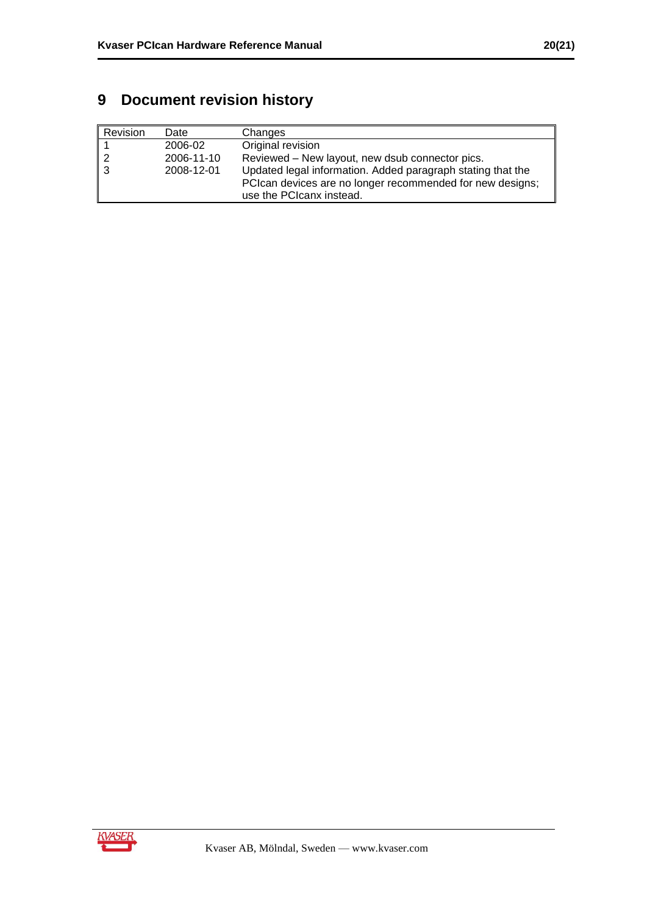## <span id="page-19-0"></span>**9 Document revision history**

| Revision | Date       | Changes                                                                                                                                              |
|----------|------------|------------------------------------------------------------------------------------------------------------------------------------------------------|
|          | 2006-02    | Original revision                                                                                                                                    |
|          | 2006-11-10 | Reviewed - New layout, new dsub connector pics.                                                                                                      |
|          | 2008-12-01 | Updated legal information. Added paragraph stating that the<br>PCIcan devices are no longer recommended for new designs;<br>use the PCIcanx instead. |